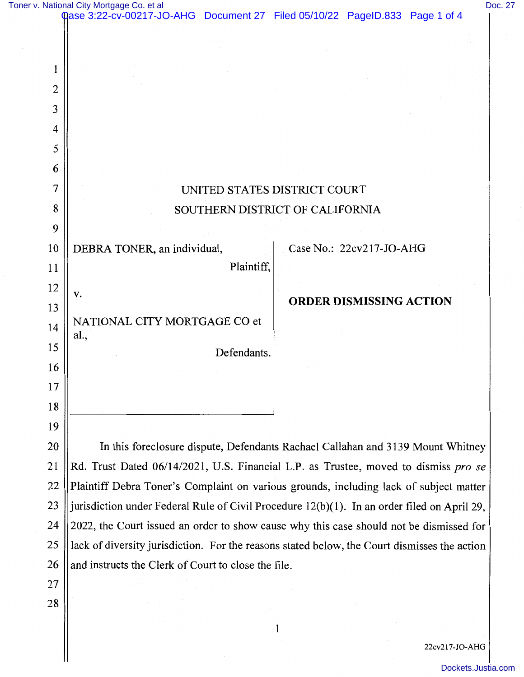| Toner v. National City Mortgage Co. et a |  |
|------------------------------------------|--|
|------------------------------------------|--|

| 1<br>2<br>3<br>4<br>5<br>6<br>7<br>UNITED STATES DISTRICT COURT<br>8<br>SOUTHERN DISTRICT OF CALIFORNIA<br>9<br>10<br>Case No.: 22cv217-JO-AHG<br>DEBRA TONER, an individual,<br>Plaintiff,<br>11<br>12<br>v.<br><b>ORDER DISMISSING ACTION</b><br>13<br>NATIONAL CITY MORTGAGE CO et<br>14<br>al.,<br>15<br>Defendants.<br>16<br>17<br>18<br>19<br>20 |                                                                                              |  |  |  |  |  |  |
|--------------------------------------------------------------------------------------------------------------------------------------------------------------------------------------------------------------------------------------------------------------------------------------------------------------------------------------------------------|----------------------------------------------------------------------------------------------|--|--|--|--|--|--|
|                                                                                                                                                                                                                                                                                                                                                        |                                                                                              |  |  |  |  |  |  |
|                                                                                                                                                                                                                                                                                                                                                        |                                                                                              |  |  |  |  |  |  |
|                                                                                                                                                                                                                                                                                                                                                        |                                                                                              |  |  |  |  |  |  |
|                                                                                                                                                                                                                                                                                                                                                        |                                                                                              |  |  |  |  |  |  |
|                                                                                                                                                                                                                                                                                                                                                        |                                                                                              |  |  |  |  |  |  |
|                                                                                                                                                                                                                                                                                                                                                        |                                                                                              |  |  |  |  |  |  |
|                                                                                                                                                                                                                                                                                                                                                        |                                                                                              |  |  |  |  |  |  |
|                                                                                                                                                                                                                                                                                                                                                        |                                                                                              |  |  |  |  |  |  |
|                                                                                                                                                                                                                                                                                                                                                        |                                                                                              |  |  |  |  |  |  |
|                                                                                                                                                                                                                                                                                                                                                        |                                                                                              |  |  |  |  |  |  |
|                                                                                                                                                                                                                                                                                                                                                        |                                                                                              |  |  |  |  |  |  |
|                                                                                                                                                                                                                                                                                                                                                        |                                                                                              |  |  |  |  |  |  |
|                                                                                                                                                                                                                                                                                                                                                        |                                                                                              |  |  |  |  |  |  |
|                                                                                                                                                                                                                                                                                                                                                        |                                                                                              |  |  |  |  |  |  |
|                                                                                                                                                                                                                                                                                                                                                        |                                                                                              |  |  |  |  |  |  |
|                                                                                                                                                                                                                                                                                                                                                        |                                                                                              |  |  |  |  |  |  |
|                                                                                                                                                                                                                                                                                                                                                        |                                                                                              |  |  |  |  |  |  |
|                                                                                                                                                                                                                                                                                                                                                        |                                                                                              |  |  |  |  |  |  |
|                                                                                                                                                                                                                                                                                                                                                        |                                                                                              |  |  |  |  |  |  |
|                                                                                                                                                                                                                                                                                                                                                        |                                                                                              |  |  |  |  |  |  |
| In this foreclosure dispute, Defendants Rachael Callahan and 3139 Mount Whitney                                                                                                                                                                                                                                                                        |                                                                                              |  |  |  |  |  |  |
| Rd. Trust Dated 06/14/2021, U.S. Financial L.P. as Trustee, moved to dismiss pro se                                                                                                                                                                                                                                                                    |                                                                                              |  |  |  |  |  |  |
| Plaintiff Debra Toner's Complaint on various grounds, including lack of subject matter                                                                                                                                                                                                                                                                 |                                                                                              |  |  |  |  |  |  |
| 23                                                                                                                                                                                                                                                                                                                                                     | jurisdiction under Federal Rule of Civil Procedure 12(b)(1). In an order filed on April 29,  |  |  |  |  |  |  |
| 24                                                                                                                                                                                                                                                                                                                                                     | 2022, the Court issued an order to show cause why this case should not be dismissed for      |  |  |  |  |  |  |
| 25                                                                                                                                                                                                                                                                                                                                                     | lack of diversity jurisdiction. For the reasons stated below, the Court dismisses the action |  |  |  |  |  |  |
| 26<br>and instructs the Clerk of Court to close the file.                                                                                                                                                                                                                                                                                              |                                                                                              |  |  |  |  |  |  |
| 27                                                                                                                                                                                                                                                                                                                                                     |                                                                                              |  |  |  |  |  |  |
| 28                                                                                                                                                                                                                                                                                                                                                     |                                                                                              |  |  |  |  |  |  |
|                                                                                                                                                                                                                                                                                                                                                        |                                                                                              |  |  |  |  |  |  |

22cv217-JO-AHG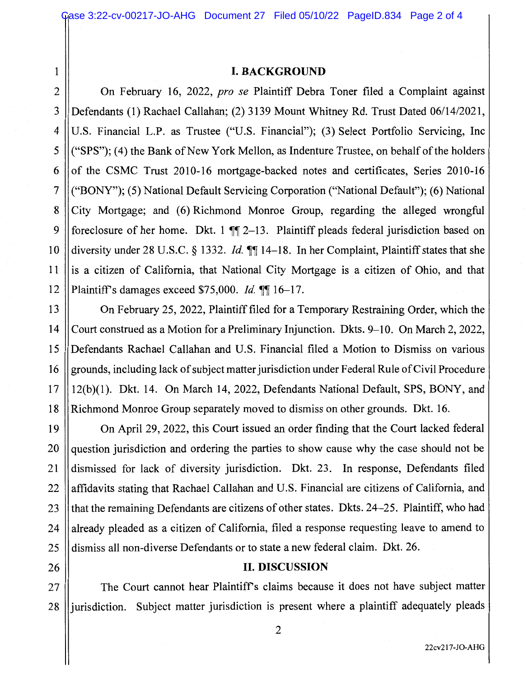## 1 I. **BACKGROUND**

2 | On February 16, 2022, *pro se* Plaintiff Debra Toner filed a Complaint against 3 Defendants (1) Rachael Callahan; (2) 3139 Mount Whitney Rd. Trust Dated 06/14/2021, 4 U.S. Financial L.P. as Trustee ("U.S. Financial"); (3) Select Portfolio Servicing, Inc 5  $\|$  ("SPS"); (4) the Bank of New York Mellon, as Indenture Trustee, on behalf of the holders 6  $\parallel$  of the CSMC Trust 2010-16 mortgage-backed notes and certificates, Series 2010-16 7 ("BONY"); (5) National Default Servicing Corporation ("National Default"); (6) National 8 City Mortgage; and (6) Richmond Monroe Group, regarding the alleged wrongful 9 || foreclosure of her home. Dkt. 1  $\mathbb{I}$  2-13. Plaintiff pleads federal jurisdiction based on 10 diversity under 28 U.S.C. § 1332. *Id.* **¶** 14-18. In her Complaint, Plaintiff states that she  $11$  lis a citizen of California, that National City Mortgage is a citizen of Ohio, and that 12 || Plaintiff's damages exceed \$75,000. *Id.* **116**–17.

13 On February 25, 2022, Plaintiff filed for a Temporary Restraining Order, which the 14 Court construed as a Motion for a Preliminary Injunction. Dkts. 9-10. On March 2, 2022, 15 Defendants Rachael Callahan and U.S. Financial filed a Motion to Dismiss on various 16 grounds, including lack of subject matter jurisdiction under Federal Rule of Civil Procedure 17 12(b)(l). Dkt. 14. On March 14, 2022, Defendants National Default, SPS, BONY, and 18 Richmond Monroe Group separately moved to dismiss on other grounds. Dkt. 16.

19 On April 29, 2022, this Court issued an order finding that the Court lacked federal 20 guestion jurisdiction and ordering the parties to show cause why the case should not be 21 dismissed for lack of diversity jurisdiction. Dkt. 23. In response, Defendants filed 22 || affidavits stating that Rachael Callahan and U.S. Financial are citizens of California, and 23 || that the remaining Defendants are citizens of other states. Dkts. 24–25. Plaintiff, who had  $24$  || already pleaded as a citizen of California, filed a response requesting leave to amend to 25 dismiss all non-diverse Defendants or to state a new federal claim. Dkt. 26.

## 26 **II. DISCUSSION**

27 || The Court cannot hear Plaintiff's claims because it does not have subject matter 28 lliurisdiction. Subject matter jurisdiction is present where a plaintiff adequately pleads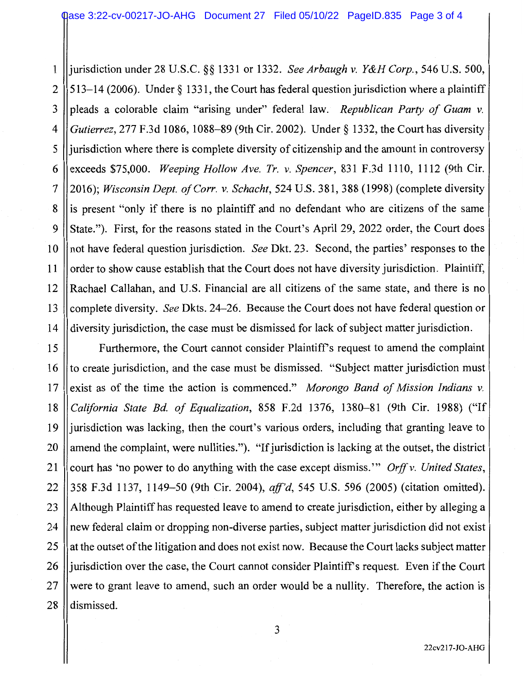1 jurisdiction under 28 U.S.C. §§ 1331 or 1332. *See Arbaugh v. Y&H Corp.,* 546 U.S. 500, 2  $\parallel$  513–14 (2006). Under § 1331, the Court has federal question jurisdiction where a plaintiff 3 pleads a colorable claim "arising under" federal law. *Republican Party of Guam v.* 4 *Gutierrez,* 277 F.3d 1086, 1088-89 (9th Cir. 2002). Under§ 1332, the Court has diversity 5 ll jurisdiction where there is complete diversity of citizenship and the amount in controversy 6 exceeds \$75,000. *Weeping Hollow Ave. Tr. v. Spencer*, 831 F.3d 1110, 1112 (9th Cir. 7 2016); *Wisconsin Dept. of Corr. v. Schacht,* 524 U.S. 381, 388 (1998) (complete diversity 8 ll is present "only if there is no plaintiff and no defendant who are citizens of the same 9 || State."). First, for the reasons stated in the Court's April 29, 2022 order, the Court does 10 not have federal question jurisdiction. *See* Dkt. 23. Second, the parties' responses to the 11 order to show cause establish that the Court does not have diversity jurisdiction. Plaintiff, 12 ||Rachael Callahan, and U.S. Financial are all citizens of the same state, and there is no 13 complete diversity. *See* Dkts. 24-26. Because the Court does not have federal question or 14 diversity jurisdiction, the case must be dismissed for lack of subject matter jurisdiction.

15 | Furthermore, the Court cannot consider Plaintiff's request to amend the complaint 16 Ito create jurisdiction, and the case must be dismissed. "Subject matter jurisdiction must 17 exist as of the time the action is commenced." *Morongo Band of Mission Indians v.* 18 *California State Bd. of Equalization,* 858 F.2d 1376, 1380-81 (9th Cir. 1988) ("If 19 jurisdiction was lacking, then the court's various orders, including that granting leave to 20  $\parallel$  amend the complaint, were nullities."). "If jurisdiction is lacking at the outset, the district 21 court has 'no power to do anything with the case except dismiss." *Orff v. United States,* 22 358 F.3d 1137, 1149-50 (9th Cir. 2004), *aff'd,* 545 U.S. 596 (2005) (citation omitted). 23 Although Plaintiff has requested leave to amend to create jurisdiction, either by alleging a 24 || new federal claim or dropping non-diverse parties, subject matter jurisdiction did not exist 25  $\parallel$  at the outset of the litigation and does not exist now. Because the Court lacks subject matter 26 lle jurisdiction over the case, the Court cannot consider Plaintiff's request. Even if the Court  $27$  were to grant leave to amend, such an order would be a nullity. Therefore, the action is 28 dismissed.

3